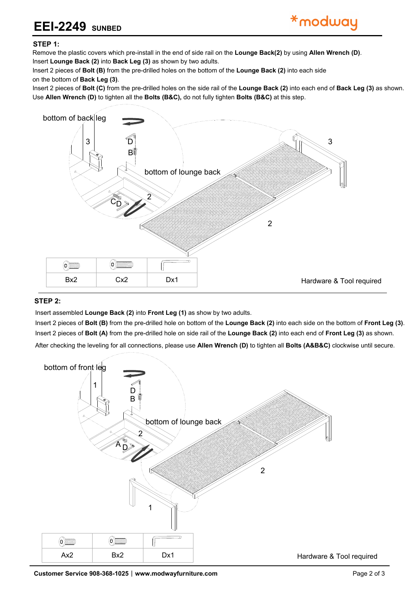## **EEI-2249 SUNBED**

## **STEP 1:**

Remove the plastic covers which pre-install in the end of side rail on the **Lounge Back(2)** by using **Allen Wrench (D)**. Please put **Lounge Back (2)**, **Back Leg (3)** and **Front Leg (1)** upside down on a carpeted or padded surface.

Insert **Lounge Back (2)** into **Back Leg (3)** as shown by two adults.

Insert 2 pieces of **Bolt (B)** from the pre-drilled holes on the bottom of the **Lounge Back (2)** into each side on the bottom of **Back Leg (3)** as shown.

Insert 2 pieces of **Bolt (C)** from the pre-drilled holes on the side rail of the **Lounge Back (2)** into each end of **Back Leg (3)** as shown. Use **Allen Wrench (D)** to tighten all the **Bolts (B&C),** do not fully tighten **Bolts (B&C)** at this step.



## **STEP 2:**

Insert assembled **Lounge Back (2)** into **Front Leg (1)** as show by two adults.

Insert 2 pieces of **Bolt (B)** from the pre-drilled hole on bottom of the **Lounge Back (2)** into each side on the bottom of **Front Leg (3)**. Insert 2 pieces of **Bolt (A)** from the pre-drilled hole on side rail of the **Lounge Back (2)** into each end of **Front Leg (3)** as shown.

After checking the leveling for all connections, please use **Allen Wrench (D)** to tighten all **Bolts (A&B&C)** clockwise until secure.